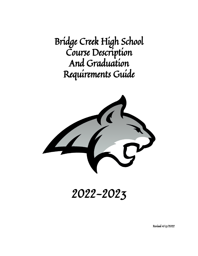Bridge Creek High School Course Description And Graduation Requirements Guide



2022-2023

Revised 4/13/2022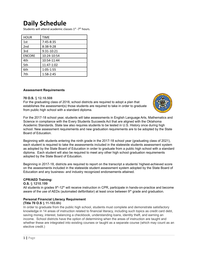## **Daily Schedule**

Students will attend academic classes 1<sup>st</sup> -7<sup>th</sup> hours.

| <b>HOUR</b>   | <b>TIME</b> |
|---------------|-------------|
| 1st           | 7:45-8:35   |
| 2nd           | 8:38-9:28   |
| 3rd           | 9:31-10:21  |
| <b>ENCORE</b> | 10:24-10:54 |
| 4th           | 10:54-11:44 |
| 5th           | 11:47-1:02  |
| 6th           | 1:05-1:55   |
| 7th           | $1:58-2:45$ |

### **Assessment Requirements**

### **70 O.S.** § **12.10.508**

For the graduating class of 2018, school districts are required to adopt a plan that establishes the assessment(s) those students are required to take in order to graduate from public high school with a standard diploma.



For the 2017-18 school year, students will take assessments in English Language Arts, Mathematics and Science in compliance with the Every Students Succeeds Act that are aligned with the Oklahoma Academic Standards. State law also requires students to be tested in U.S. History once during high school. New assessment requirements and new graduation requirements are to be adopted by the State Board of Education.

Beginning with students entering the ninth grade in the 2017-18 school year (graduating class of 2021), each student is required to take the assessments included in the statewide students assessment system as adopted by the State Board of Education in order to graduate from a public high school with a standard diploma. Each student will also be required to meet any other high school graduation requirements adopted by the State Board of Education.

Beginning in 2017-18, districts are required to report on the transcript a students' highest-achieved score on the assessments included in the statewide student assessment system adopted by the State Board of Education and any business- and industry recognized endorsements attained.

### **CPR/AED Training:**

### **O.S.** § **1210.199**

All students in grades 9<sup>th</sup>-12<sup>th</sup> will receive instruction in CPR, participate in hands-on-practice and become aware of the use of AEDs (automated defibrillator) at least once between  $9<sup>th</sup>$  grade and graduation.

### **Personal Financial Literacy Requirement**

### **(Title 70 O.S** § **11-103.6h)**

In order to graduate from the public high school, students must complete and demonstrate satisfactory knowledge in 14 areas of instruction related to financial literacy, including such topics as credit card debt, saving money, interest, balancing a checkbook, understanding loans, identity theft, and earning an income. School districts have the option of determining when the areas of instruction are taught and whether these are integrated into existing courses or taught as a separate course (which may count as an elective credit.)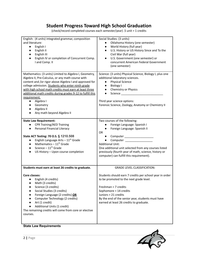## **Student Progress Toward High School Graduation**

(check/record completed courses each semester/year) .5 unit = 1 credits

| English: (4 units) integrated grammar, composition<br>and literature:<br>English I<br>$\bullet$<br>English II<br>$\bullet$<br>English III<br>$\bullet$<br>English IV or completion of Concurrent Comp.<br>I and Comp. II                                                                                                                                                                                                                                                       | Social Studies: (3 units)<br>Oklahoma History (one semester)<br>$\bullet$<br>World History (full year)<br>$\bullet$<br>U.S. History or US History Since and To the<br>$\bullet$<br>Civil War (full year)<br>U.S. Government (one semester) or<br>concurrent American Federal Government<br>(one semester)                          |  |  |  |
|--------------------------------------------------------------------------------------------------------------------------------------------------------------------------------------------------------------------------------------------------------------------------------------------------------------------------------------------------------------------------------------------------------------------------------------------------------------------------------|------------------------------------------------------------------------------------------------------------------------------------------------------------------------------------------------------------------------------------------------------------------------------------------------------------------------------------|--|--|--|
| Mathematics: (3 units) Limited to Algebra I, Geometry,<br>Algebra II, Pre-Calculus, or any math course with<br>content and /or rigor above Algebra I and approved for<br>college admission. Students who enter ninth grade<br>with high school math credits must earn at least three<br>additional math credits during grades 9-12 to fulfill this<br>requirement.<br>Algebra I<br>$\bullet$<br>Geometry<br>$\bullet$<br>Algebra II<br>$\bullet$<br>Any math beyond Algebra II | Science: (3 units) Physical Science, Biology I, plus one<br>additional laboratory sciences.<br><b>Physical Science</b><br>$\bullet$<br><b>Biology I</b><br>$\bullet$<br>Chemistry or Physics<br>$\bullet$<br>$\bullet$<br>Third year science options:<br>Forensic Science, Zoology, Anatomy or Chemistry II                        |  |  |  |
| <b>State Law Requirement:</b><br><b>CPR Training/AED Training</b><br>Personal Financial Literacy<br>State ACT Testing: 70 O.S. § 1210.508<br>English Language Arts $-11^{th}$ Grade<br>$\bullet$<br>Mathematics $-11^{th}$ Grade<br>Science $-11^{th}$ Grade<br>US History - Upon course completion                                                                                                                                                                            | Two courses of the following:<br>Foreign Language: Spanish I<br>Foreign Language: Spanish II<br><b>OR</b><br>Computer _____________________<br><b>Additional Unit:</b><br>One additional unit selected from any courses listed<br>previously (fourth year of math, science, history or<br>computer) can fulfill this requirement). |  |  |  |
| Students must earn at least 26 credits to graduate.                                                                                                                                                                                                                                                                                                                                                                                                                            | <b>GRADE LEVEL CLASSIFICATION:</b>                                                                                                                                                                                                                                                                                                 |  |  |  |
| Core classes:<br>English (4 credits)<br>Math (3 credits)<br>Science (3 credits)<br>Social Studies (3 credits)<br>Foreign Language (2 credits) OR<br>Computer Technology (2 credits)<br>Art (1 credit)<br>Additional Units (1 credit)<br>The remaining credits will come from core or elective<br>courses.                                                                                                                                                                      | Students should earn 7 credits per school year in order<br>to be promoted to the next grade level.<br>Freshman = 7 credits<br>Sophomore = 14 credits<br>Juniors = 21 credits<br>By the end of the senior year, students must have<br>earned at least 26 credits to graduate.                                                       |  |  |  |

## **State Law Requirements**

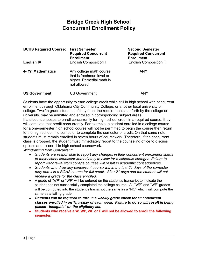## **Bridge Creek High School Concurrent Enrollment Policy**

| <b>BCHS Required Course:</b>    | <b>First Semester</b><br><b>Required Concurrent</b><br><b>Enrollment:</b>                       | <b>Second Semester</b><br><b>Required Concurrent</b><br><b>Enrollment:</b> |
|---------------------------------|-------------------------------------------------------------------------------------------------|----------------------------------------------------------------------------|
| <b>English IV</b>               | <b>English Composition I</b>                                                                    | <b>English Composition II</b>                                              |
| 4 <sup>th</sup> Yr. Mathematics | Any college math course<br>that is freshman level or<br>higher. Remedial math is<br>not allowed | <b>ANY</b>                                                                 |
| <b>US Government</b>            | <b>US Government</b>                                                                            | ANY                                                                        |

Students have the opportunity to earn college credit while still in high school with concurrent enrollment through Oklahoma City Community College, or another local university or college. Twelfth grade students, if they meet the requirements set forth by the college or university, may be admitted and enrolled in corresponding subject areas.

If a student chooses to enroll concurrently for high school credit in a required course, they will complete that credit concurrently. For example, a student enrolled in a college course for a one-semester high school course will not be permitted to begin the course then return to the high school mid semester to complete the semester of credit. On that same note, students must remain enrolled in seven hours of coursework. Therefore, if the concurrent class is dropped, the student must immediately report to the counseling office to discuss options and re-enroll in high school coursework.

*Withdrawing from Concurrent:*

- *● Students are responsible to report any changes in their concurrent enrollment status to their school counselor immediately to allow for a schedule changes. Failure to report withdrawal from college courses will result in academic consequences.*
- *● Students who drop any concurrent course within the first 21 days of the semester may enroll in a BCHS course for full credit. After 21 days and the student will not receive a grade for the class enrolled.*
- A grade of "WP" or "WF" will be entered on the student's transcript to indicate the student has not successfully completed the college course. All "WP" and "WF" grades will be computed into the student's transcript the same as a "NC" which will compute the same as a failing grade.
- *● Students will be required to turn in a weekly grade check for all concurrent classes enrolled in on Thursday of each week. Failure to do so will result in being placed "ineligible" on the eligibility list.*
- **● Students who receive a W, WP, WF or F will not be allowed to enroll the following semester.**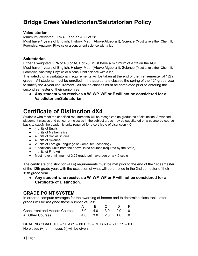## **Bridge Creek Valedictorian/Salutatorian Policy**

### **Valedictorian**

Minimum Weighted GPA 4.0 and an ACT of 28 Must have 4 years of English, History, Math (Above Algebra I), Science (Must take either Chem II, Forensics, Anatomy, Physics or a concurrent science with a lab)

### **Salutatorian**

Either a weighted GPA of 4.0 or ACT of 28. Must have a minimum of a 23 on the ACT. Must have 4 years of English, History, Math (Above Algebra I), Science (Must take either Chem II, Forensics, Anatomy, Physics or a concurrent science with a lab)

The valedictorian/salutatorian requirements will be taken at the end of the first semester of 12th grade. All students must be enrolled in the appropriate classes the spring of the 12<sup>th</sup> grade year to satisfy the 4-year requirement. All online classes must be completed prior to entering the second semester of their senior year.

**● Any student who receives a W, WP, WF or F will not be considered for a Valedictorian/Salutatorian.**

## **Certificate of Distinction 4X4**

Students who meet the specified requirements will be recognized as graduates of distinction. Advanced placement classes and concurrent classes in the subject areas may be substituted on a course-by-course basis to satisfy the academic units required for a certificate of distinction 4X4.

- 4 units of English
- 4 units of Mathematics
- 4 units of Social Studies
- 4 units of Science
- 2 units of Foreign Language or Computer Technology
- 1 additional units from the above listed courses (required by the State)
- 1 units of Fine Art
- Must have a minimum of 3.25 grade point average on a 4.0 scale

The certificate of distinction (4X4) requirements must be met prior to the end of the 1st semester of the 12th grade year, with the exception of what will be enrolled in the 2nd semester of their 12th grade year.

**● Any student who receives a W, WP, WF or F will not be considered for a Certificate of Distinction.**

## **GRADE POINT SYSTEM**

In order to compute averages for the awarding of honors and to determine class rank, letter grades will be assigned these number values:

|                                                 |  | ARC DF            |  |
|-------------------------------------------------|--|-------------------|--|
| Concurrent and Honors Courses 5.0 4.0 3.0 2.0 0 |  |                   |  |
| All Other Courses                               |  | 4.0 3.0 2.0 1.0 0 |  |

GRADING SCALE 100 – 90 A 89 – 80 B 79 – 70 C 69 – 60 D 59 – 0 F No pluses (+) or minuses (-) will be given.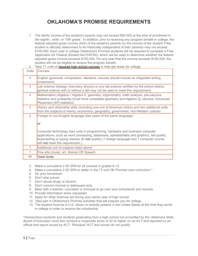## **OKLAHOMA'S PROMISE REQUIREMENTS**

1. The family income of the student's parents may not exceed \$55,000 at the time of enrollment in the eighth-, ninth- or 10th grade.<sup>1</sup> In addition, prior to receiving any program benefit in college, the federal adjusted gross income (AGI) of the student's parents (or the income of the student if the student is officially determined to be financially independent of their parents) may not exceed \$100,000. Each year in college Oklahoma's Promise students will be required to complete a Free Application for Federal Student Aid (FAFSA), which will be used to determine whether the federal adjusted gross income exceeds \$100,000. For any year that the income exceeds \$100,000, the student will not be eligible to receive the program benefit.

| Units | Courses                                                                                                                                                                                                                                                                                                    |
|-------|------------------------------------------------------------------------------------------------------------------------------------------------------------------------------------------------------------------------------------------------------------------------------------------------------------|
| 4     | English (grammar, composition, literature; courses should include an integrated writing<br>component)                                                                                                                                                                                                      |
| 3     | Lab science (biology, chemistry, physics or any lab science certified by the school district;<br>general science with or without a lab may not be used to meet this requirement)                                                                                                                           |
| 3     | Mathematics (Algebra I, Algebra II, geometry, trigonometry, math analysis, pre-calculus,<br>statistics and probability [must have completed geometry and Algebra II], calculus, Advanced<br>Placement [AP] statistics)                                                                                     |
| 3     | History and citizenship skills (including one unit of American history and two additional units<br>from the subjects of history, economics, geography, government, non-Western culture)                                                                                                                    |
| 2     | Foreign or non-English language (two years of the same language)                                                                                                                                                                                                                                           |
|       | lor                                                                                                                                                                                                                                                                                                        |
|       | Computer technology (two units in programming, hardware and business computer<br>applications, such as word processing, databases, spreadsheets and graphics, will qualify;<br>keyboarding or typing classes do not qualify) (1 foreign language and 1 computer course<br>will not meet this requirement.) |
|       | Additional unit of subjects listed above                                                                                                                                                                                                                                                                   |
|       | Fine arts (music, art, drama) OR Speech                                                                                                                                                                                                                                                                    |
| 17    | <b>Total Units</b>                                                                                                                                                                                                                                                                                         |

2. Take 17 units of [required](http://www.okhighered.org/okpromise/required-courses.shtml) high school courses to help get ready for college.

- 3. Make a cumulative 2.50 GPA for all courses in grades 9-12.
- 4. Make a cumulative 2.50 GPA or better in the 17-unit OK Promise core curriculum.<sup>2</sup>
- 5. Do your homework.
- 6. Don't skip school.
- 7. Don't abuse drugs or alcohol.
- 8. Don't commit criminal or delinquent acts.
- 9. Meet with a teacher, counselor or principal to go over your schoolwork and records.
- 10. Provide information when requested.
- 11. Apply for other financial aid during your senior year of high school.
- 12. Take part in Oklahoma's Promise activities that will prepare you for college.
- 13. The student must be a U.S. citizen or lawfully present in the United States at the time they enroll in college in order to receive the scholarship.

\**Homeschool students and students graduating from a high school not accredited by the Oklahoma State* Board of Education must also achieve a composite score of 22 or higher on an ACT test reported on an *official test report issued by ACT. "Residual" ACT test scores do not qualify.*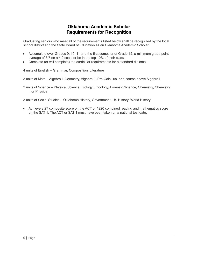### **Oklahoma Academic Scholar Requirements for Recognition**

Graduating seniors who meet all of the requirements listed below shall be recognized by the local school district and the State Board of Education as an Oklahoma Academic Scholar:

- Accumulate over Grades 9, 10, 11 and the first semester of Grade 12, a minimum grade point average of 3.7 on a 4.0 scale or be in the top 10% of their class.
- Complete (or will complete) the curricular requirements for a standard diploma.

4 units of English – Grammar, Composition, Literature

3 units of Math – Algebra I, Geometry, Algebra II, Pre-Calculus, or a course above Algebra I

3 units of Science – Physical Science, Biology I, Zoology, Forensic Science, Chemistry, Chemistry II or Physics

3 units of Social Studies – Oklahoma History, Government, US History, World History

● Achieve a 27 composite score on the ACT or 1220 combined reading and mathematics score on the SAT 1. The ACT or SAT 1 must have been taken on a national test date.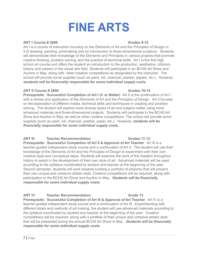# **FINE ARTS**

### **ART I Course # 2808 Grades 9-12**

Art I is a course of instruction focusing on the *Elements of Art* and the *Principles of Design* in 2-D drawing, painting, printmaking and an introduction to three-dimensional sculpture. Students will demonstrate their knowledge of the *Elements and Principles* in various projects that promote creative thinking, problem solving, and the practice of technical skills. Art I is the first high school art course and offers the student an introduction to the production, aesthetics, criticism, history and careers in the visual arts field. Students will participate in an BCHS Art Show and Auction in May, along with other creative competitions as designated by the instructor. The school will provide some supplies (such as paint, ink, charcoal, pastels, papers, etc.). However, *students will be financially responsible for some individual supply costs.*

### **ART II Course # 2809 Grades 10-12**

**Prerequisite: Successful Completion of Art I (C or Better)** Art II is the continuation of Art I with a review and application of the *Elements of Art* and the *Principles of Design.* Art II focuses on the exploration of different media, technical skills and techniques in creating and problem solving. The student will explore more diverse styles of art and subject matter using more advanced materials and three-dimensional projects. Students will participate in the BCHS Art Show and Auction in May, as well as other creative competitions. The school will provide some supplies (such as paint, ink, charcoal, pastels, paper, etc.). However, *students will be financially responsible for some individual supply costs.*

### **ART III Teacher Recommendation Grades 11-12**

**Prerequisite: Successful Completion of Art II & Approval of Art Teacher** Art III is a teacher-guided independent study course and a continuation of Art II. The student will use their knowledge of the *Elements of Art* and the *Principles of Design* to experiment with their own creative style and conceptual ideas. Students will examine the work of the masters throughout history to assist in the development of their own style of art. Advanced materials will be used according to the syllabus coordinated by student and teacher at the beginning of the year. Second semester, students will work towards building a portfolio of artworks that will present their own unique and cohesive artistic style. Creative competitions will be required, along with participation in the BCHS Art Show and Auction in May. *Students will be financially responsible for some individual supply costs*.

### **ART IV Teacher Recommendation Grade 12**

**Prerequisite: Successful Completion of Art III & Approval of Art Teacher** Art IV is a teacher-guided independent study course and a continuation of Art III. Experimenting with different styles and methods of art making, the student will use advanced materials according to the syllabus coordinated by student and teacher at the beginning of the year. Creative competitions will be required, along with a portfolio of their unique and cohesive artistic style that will be presented during the annual BCHS Art Show in May. *Students will be financially responsible for some individual supply costs.*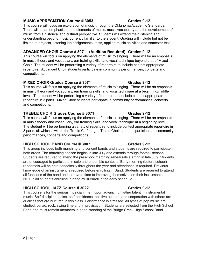### **MUSIC APPRECIATION Course # 3053 Grades 9-12**

This course will focus on exploration of music through the Oklahoma Academic Standards. There will be an emphasis on the elements of music, music vocabulary and the development of music from a historical and cultural perspective. Students will extend their listening and understanding beyond music currently familiar to the student. Grading will include but not be limited to projects, listening lab assignments, tests, applied music activities and semester test.

### **ADVANCED CHOIR Course # 3071 (Audition Required) Grades 9-12**

This course will focus on applying the elements of music to singing. There will be an emphasis in music theory and vocabulary, ear training skills, and vocal technique beyond that of Mixed Choir. The student will be performing a variety of repertoire to include contest appropriate repertoire. Advanced Choir students participate in community performances, concerts and competitions.

### **MIXED CHOIR Grades Course # 3071 Grades 9-12**

This course will focus on applying the elements of music to singing. There will be an emphasis in music theory and vocabulary, ear training skills, and vocal technique at a beginning/middle level. The student will be performing a variety of repertoire to include contest appropriate repertoire in 3 parts. Mixed Choir students participate in community performances, concerts and competitions.

### **TREBLE CHOIR Grades Course # 3071 Grades 9-12**

This course will focus on applying the elements of music to singing. There will be an emphasis in music theory and vocabulary, ear training skills, and vocal technique at a beginning level. The student will be performing a variety of repertoire to include contest appropriate repertoire in 3 parts, all which is within the Treble Clef range. Treble Choir students participate in community performances, concerts and competitions.

### **HIGH SCHOOL BAND Course # 3007 Grades 9-12**

This group includes both marching and concert bands and students are required to participate in both areas. The marching season begins in late July and extends through football season. Students are required to attend the preschool marching rehearsals starting in late July. Students are encouraged to participate in solo and ensemble contests. Early morning (before school) rehearsals will be held periodically throughout the year and attendance is required. Previous knowledge of an instrument is required before enrolling in Band. Students are required to attend all functions of the band and to devote time to improving themselves on their instruments. NOTE: All students enrolling in band must enroll in the early schedule.

### **HIGH SCHOOL JAZZ Course # 3022 Grades 9-12**

This course is for the serious musician intent upon advancing his/her talent in instrumental music. Self-discipline, poise, self-confidence, positive attitude, and cooperation with others are qualities that are nurtured in this class. Performance is stressed. All types of pop music are studied: ballad, rock, swing time and improvisation. Students are selected from the High School Band and must remain members in good standing of the Bridge Creek High School Band.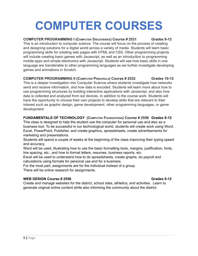# **COMPUTER COURSES**

### **COMPUTER PROGRAMMING I (COMPUTER DISCOVERIES) Course # 2531 Grades 9-12**

This is an introduction to computer science. The course will focus on the process of creating and designing solutions for a digital world across a variety of media. Students will learn basic programming skills for creating web pages with HTML and CSS. Other programming projects will include creating basic games with Javascript, as well as an introduction to programming mobile apps and simple electronics with Javascript. Students will see how basic skills in one language are transferable to other programming languages as we further investigate developing games and animations in Scratch.

### **COMPUTER PROGRAMMING II (COMPUTER PRINCIPALS) Course # 2532 Grades 10-12**

This is a deeper investigation into Computer Science where students investigate how networks send and receive information, and how data is encoded. Students will learn more about how to use programming structures by building interactive applications with Javascript, and also how data is collected and analyzed from out devices. In addition to the course work. Students will have the opportunity to choose their own projects to develop skills that are relevant to their interest such as graphic design, game development, other programming languages, or game development.

### **FUNDAMENTALS OF TECHNOLOGY (COMPUTER FOUNDATIONS) Course # 2558 Grades 9-12**

This class is designed to help the student use the computer for personal use and also as a business tool. To be successful in our technological world, students will create work using Word, Excel, PowerPoint, Publisher, and create graphics, spreadsheets, create advertisements for marketing and presentations.

Students will spend a couple of weeks at the beginning of the class improving their typing speed and accuracy.

Word will be used, illustrating how to use the basic formatting tools, margins, justification, fonts, line spacing, etc., and how to format letters, resumes, business reports, etc.

Excel will be used to understand how to do spreadsheets, create graphs, do payroll and calculations using formats for personal use and for a business.

For the most part, assignments are for the individual instead of a group.

There will be online research for assignments.

### **WEB DESIGN Course # 2556 Grades 9-12**

Create and manage websites for the district, school sites, athletics, and activities. Learn to generate original online content while also informing the community about the district.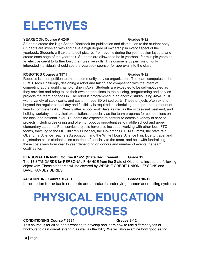# **ELECTIVES**

### **YEARBOOK Course # 4240 Grades 9-12**

Students create the High School Yearbook for publication and distribution to the student body. Students are involved with and have a high degree of ownership in every aspect of the yearbook. Students will take and edit pictures from events during the year, design layouts, and create each page of the yearbook. Students are allowed to be in yearbook for multiple years as an elective credit to further build their creative skills. This course is by permission only, interested individuals should see the yearbook sponsor for approval into the class.

### **ROBOTICS Course # 3571 Grades 9-12**

Robotics is a competition team and community service organization. The team competes in the FIRST Tech Challenge, designing a robot and taking it to competition with the intent of competing at the world championship in April. Students are expected to be self-motivated as they envision and bring to life their own contributions to the building, programming and service projects the team engages in. The robot is programmed in an android studio using JAVA, built with a variety of stock parts, and custom made 3D printed parts. These projects often extend beyond the regular school day and flexibility is required in scheduling an appropriate amount of time to complete tasks. Weekly after school work days as well as the occasional weekend, and holiday workdays are typical expectations especially as the team prepares for competitions on the local and national level. Students are expected to contribute across a variety of service projects including designing and offering robotics opportunities to middle school and upper elementary students. Past service projects have also included, working with other local FTC teams, traveling to the OU Children's Hospital, the Governor's STEM Summit, the state fair, Oklahoma Science Teachers Association, and the White House Science Fair. Due to travel and registration costs students also contribute financially to the team, and help with fundraising, these costs vary from year to year depending on donors and number of events the team qualifies for.

### **PERSONAL FINANCE Course # 1451 (State Requirement) Grade 12**

The 13 STANDARDS for PERSONAL FINANCE from the State of Oklahoma include the following objectives: These standards will be covered by WEOKIE CREDIT UNION LESSONS and DAVE RAMSEY SERIES.

### **ACCOUNTING Course # 2401 Grades 10-12**

Introduction to the basic concepts and standards underlying finance accounting systems

# **PHYSICAL EDUCATION COURSES**

### **CONDITIONING Course # 3331 Grades 9-12**

This course is for all students wanting to develop and learn how to use different types of workouts to gain overall strength as well as flexibility. We will also examine how good eating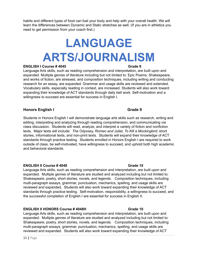habits and different types of food can fuel your body and help with your overall health. We will learn the differences between Dynamic and Static stretches as well. (If you are in athletics you need to get permission from your coach first.)

# **LANGUAGE ARTS/JOURNALISM**

### **ENGLISH I Course # 4045 Grade 9**

Language Arts skills, such as reading comprehension and interpretation, are built upon and expanded. Multiple genres of literature including but not limited to: Epic Poems, Shakespeare, and works of fiction, are stressed, and composition techniques, including writing and conducting research for an essay, are expanded. Grammar and usage skills are reviewed and extended. Vocabulary skills, especially reading in context, are increased. Students will also work toward expanding their knowledge of ACT standards through daily bell work. Self-motivation and a willingness to succeed are essential for success in English I.

### **Honors English I Grade 9**

Students in Honors English I will demonstrate language arts skills such as research, writing and editing, interpreting and analyzing through reading comprehension, and communicating via class discussion. Students will read, analyze, and interpret a variety of fiction and nonfiction texts. Major texts will include: *The Odyssey, Romeo and Juliet, To Kill a Mockingbird,* short stories, informational texts, and non-print texts. Students will expand their knowledge of ACT standards through practice testing. Students enrolled in Honors English I are required to work outside of class, be self-motivated, have willingness to succeed, and uphold both high academic and behavioral standards.

### **ENGLISH II Course # 4048 Grade 10**

Language Arts skills, such as reading comprehension and interpretation, are built upon and expanded. Multiple genres of literature are studied and analyzed including but not limited to: Shakespeare, poetry, short stories, novels, and legends. Composition techniques, including multi-paragraph essays, grammar, punctuation, mechanics, spelling, and usage skills are reviewed and expanded. Students will also work toward expanding their knowledge of ACT standards through practice testing. Self-motivation, responsibility, a willingness to succeed, and the successful completion of English I are essential for success in English II.

### **ENGLISH II HONORS Course # 4048H Grade 10**

Language Arts skills, such as reading comprehension and interpretation, are built upon and expanded. Multiple genres of literature are studied and analyzed including but not limited to: Shakespeare, poetry, short stories, novels, and legends. Composition techniques, including multi-paragraph essays, grammar, punctuation, mechanics, spelling, and usage skills are reviewed and expanded. Students will also work toward expanding their knowledge of ACT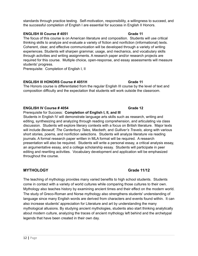standards through practice testing. Self-motivation, responsibility, a willingness to succeed, and the successful completion of English I are essential for success in English II Honors.

### **ENGLISH III Course # 4051 Grade 11**

The focus of this course is on American literature and composition. Students will use critical thinking skills to analyze and evaluate a variety of fiction and nonfiction (informational) texts. Coherent, clear, and effective communication will be developed through a variety of writing experiences. Students will sharpen grammar, usage, and mechanics, and vocabulary skills through activities and writing assignments. A research paper and/or research projects are required for this course. Multiple choice, open-response, and essay assessments will measure students' progress.

Prerequisite: Completion of English I, II

### **ENGLISH III HONORS Course # 4051H Grade 11**

The Honors course is differentiated from the regular English III course by the level of text and composition difficulty and the expectation that students will work outside the classroom.

### **ENGLISH IV Course # 4054 Grade 12**

Prerequisite for Success: **Completion of English I, II, and III**

Students in English IV will demonstrate language arts skills such as research, writing and editing, synthesizing and analyzing through reading comprehension, and articulating via class discussion. Students will explore literary contexts with a focus on British literature. Major texts will include *Beowulf, The Canterbury Tales, Macbeth,* and *Gulliver's Travels,* along with various short stories, poems, and nonfiction selections. Students will analyze literature via reading journals. A formal research paper written in MLA format will be required. A research presentation will also be required. Students will write a personal essay, a critical analysis essay, an argumentative essay, and a college scholarship essay. Students will participate in peer editing and rewriting activities. Vocabulary development and application will be emphasized throughout the course.

### **MYTHOLOGY Grade 11/12**

The teaching of mythology provides many varied benefits to high school students. Students come in contact with a variety of world cultures while comparing those cultures to their own. Mythology also teaches history by examining ancient times and their effect on the modern world. The study of Greco-Roman and Norse mythology also strengthens students' understanding of language since many English words are derived from characters and events found within. It can also increase students' appreciation for Literature and art by understanding the many mythological allusions. By studying ancient mythologies, students also start thinking analytically about modern culture, analyzing the traces of ancient mythology left behind and the archetypal legends that have been created in their own day.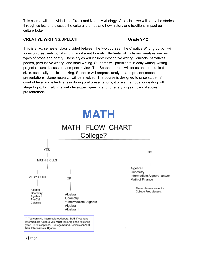This course will be divided into Greek and Norse Mythology. As a class we will study the stories through scripts and discuss the cultural themes and how history and traditions impact our culture today.

### **CREATIVE WRITING/SPEECH Grade 9-12**

This is a two semester class divided between the two courses. The Creative Writing portion will focus on creative/fictional writing in different formats. Students will write and analyze various types of prose and poetry. These styles will include: descriptive writing, journals, narratives, poems, persuasive writing, and story writing. Students will participate in daily writing, writing projects, class discussion, and peer review. The Speech portion will focus on communication skills, especially public speaking. Students will prepare, analyze, and present speech presentations. Some research will be involved. The course is designed to raise students' comfort level and effectiveness during oral presentations; it offers methods for dealing with stage fright, for crafting a well-developed speech, and for analyzing samples of spoken presentations.

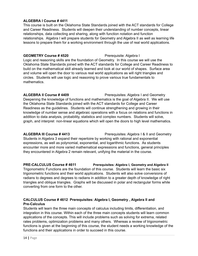### **ALGEBRA I Course # 4411**

This course is built on the Oklahoma State Standards joined with the ACT standards for College and Career Readiness. Students will deepen their understanding of number concepts, linear relationships, data collecting and sharing, along with function notation and function relationships. Algebra I will prepare students for Geometry and Algebra II as well as learning life lessons to prepare them for a working environment through the use of real world applications.

### **GEOMETRY Course # 4520** Prerequisite: Algebra I

Logic and reasoning skills are the foundation of Geometry. In this course we will use the Oklahoma State Standards joined with the ACT standards for College and Career Readiness to build on the mathematical skill already learned and look at our world of shapes. Surface area and volume will open the door to various real world applications as will right triangles and circles. Students will use logic and reasoning to prove various true fundamentals to mathematics.

### **ALGEBRA II Course # 4409** Prerequisites: Algebra I and Geometry

Deepening the knowledge of functions and mathematics is the goal of Algebra II. We will use the Oklahoma State Standards joined with the ACT standards for College and Career Readiness as the guidelines. Students will continue strengthening and growing in their knowledge of number sense and algebraic operations with a focus on relations and functions in addition to data analysis, probability, statistics and complex numbers. Students will solve, graph, and interpret non-linear equations which will open the doors to high level mathematics.

**ALGEBRA III Course # 4413** Prerequisites: Algebra I & II and Geometry Students in Algebra 3 expand their repertoire by working with rational and exponential expressions, as well as polynomial, exponential, and logarithmic functions. As students encounter more and more varied mathematical expressions and functions, general principles they encountered in Algebra 2 remain relevant, unifying the material in the course.

**PRE-CALCULUS Course # 4611 Prerequisites: Algebra I, Geometry and Algebra II** Trigonometric Functions are the foundation of this course. Students will learn the basic six trigonometric functions and their world applications. Students will also solve conversions of radians to degrees and degrees to radians in addition to a greater depth of knowledge of right triangles and oblique triangles. Graphs will be discussed in polar and rectangular forms while converting from one form to the other.

### **CALCULUS Course # 4612 Prerequisites: Algebra I, Geometry , Algebra II and Pre-Calculus**

Students will learn the three main concepts of calculus including limits, differentiation, and integration in this course. Within each of the three main concepts students will learn common applications of the concepts. This will include problems such as solving for extrema, related rates problems, optimization problems and many others. Whereas a review of trigonometric functions is given at the beginning of this course, the student needs a working knowledge of the functions and their applications in order to succeed in this course.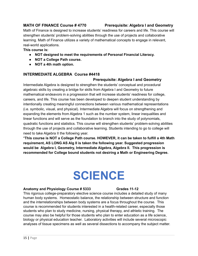### **MATH OF FINANCE Course # 4770 Prerequisite: Algebra I and Geometry**

Math of Finance is designed to increase students' readiness for careers and life. This course will strengthen students' problem-solving abilities through the use of projects and collaborative learning. Math of Finance utilizes a variety of mathematical concepts to engage in relevant, real-world applications.

**This course is:**

- **● NOT designed to meet the requirements of Personal Financial Literacy.**
- **● NOT a College Path course.**
- **● NOT a 4th math option.**

### **INTERMEDIATE ALGEBRA Course #4418**

### **Prerequisite: Algebra I and Geometry**

Intermediate Algebra is designed to strengthen the students' conceptual and procedural algebraic skills by creating a bridge for skills from Algebra I and Geometry to future mathematical endeavors in a progression that will increase students' readiness for college, careers, and life. This course has been developed to deepen student understanding by intentionally creating meaningful connections between various mathematical representations (i.e. symbolic, visual, and physical). Intermediate Algebra will focus on strengthening and expanding the elements from Algebra 1 such as the number system, linear inequalities and linear functions and will serve as the foundation to branch into the study of polynomials, quadratic functions and statistics. This course will strengthen students' problem-solving abilities through the use of projects and collaborative learning. Students intending to go to college will need to take Algebra II the following year.

\***This course is NOT a College Path course. HOWEVER, it can be taken to fulfill a 4th Math requirement, AS LONG AS Alg II is taken the following year. Suggested progression would be Algebra I, Geometry, Intermediate Algebra, Algebra II. This progression is recommended for College bound students not desiring a Math or Engineering Degree.**

# **SCIENCE**

### **Anatomy and Physiology Course # 5333 Grades 11-12**

This rigorous college-preparatory elective science course includes a detailed study of many human body systems. Homeostatic balance, the relationship between structure and function and the interrelationships between body systems are a focus throughout the course. This course is recommended for students interested in a health-related career, especially those students who plan to study medicine, nursing, physical therapy, and athletic training. The course may also be helpful for those students who plan to enter education as a life science, biology or physical education teacher. Laboratory activities will include several microscopic analyses of tissue specimens as well as several dissections to accompany the subject matter.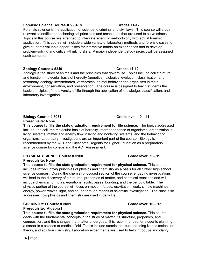### **Forensic Science Course # 5334FS Grades 11-12**

Forensic science is the application of science to criminal and civil laws. This course will study relevant scientific and technological principles and techniques that are used to solve crimes. Topics in this course are arranged to integrate scientific methodology with actual forensic application. This course will include a wide variety of laboratory methods and forensic cases to give students valuable opportunities for interactive hands-on experiences and to develop problem-solving and critical –thinking skills. A major independent study project will be assigned each semester.

### **Zoology Course # 5240 Grades 11-12**

Zoology is the study of animals and the principles that govern life. Topics include cell structure and function, molecular basis of heredity (genetics), biological evolution, classification and taxonomy, ecology, invertebrates, vertebrates, animal behavior and organisms in their environment, conservation, and preservation. The course is designed to teach students the basic principles of the diversity of life through the application of knowledge, classification, and laboratory investigation.

### **Biology Course # 5031 Grade level: 10 – 11 Prerequisite: None**

**This course fulfills the state graduation requirement for life science**. The topics addressed include: the cell, the molecular basis of heredity, interdependence of organisms, organization in living systems, matter and energy flow in living and nonliving systems, and the behavior of organisms. Laboratory investigations are an important part of the course. Biology is recommended by the ACT and Oklahoma Regents for Higher Education as a preparatory science course for college and the ACT Assessment.

### **PHYSICAL SCIENCE Course # 5160 Grade level: 9 – 11 Prerequisite: None**

**This course fulfills the state graduation requirement for physical science.** This course includes **introductory** principles of physics and chemistry as a basis for all further high school science courses. During the chemistry-focused section of the course, engaging investigations will lead to the discovery of structures, properties of matter, and chemical reactions and will include chemical formulas, equations, acids, bases, bonding, and the periodic table. The physics portion of the course will focus on motion, forces, gravitation, work, simple machines, energy, power, waves, light, and sound through means of scientific investigation. The class also addresses how physics and chemistry are used in daily life.

### **CHEMISTRY I Course # 5051 Grade level: 10 – 12 Prerequisite: Algebra I**

**This course fulfills the state graduation requirement for physical science.** This course deals with the fundamental concepts in the study of matter, its structure, properties, and composition, and the changes that matter undergoes. It is recommended for students planning a career in a science or medical field. Topics include atomic structure, bonding kinetic molecular theory, and solution chemistry. Laboratory experiments are used to help introduce and clarify

### 16 **|** Page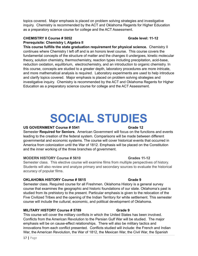topics covered. Major emphasis is placed on problem solving strategies and investigative inquiry. Chemistry is recommended by the ACT and Oklahoma Regents for Higher Education as a preparatory science course for college and the ACT Assessment.

### **CHEMISTRY II Course # 5052 Grade level: 11-12 Prerequisite: Chemistry I, Algebra II**

**This course fulfills the state graduation requirement for physical science.** Chemistry II continues where Chemistry I left off and is an honors level course. This course covers the fundamental concepts of the structure of matter and the changes it undergoes, kinetic molecular theory, solution chemistry, thermochemistry, reaction types including precipitation, acid-base, reduction oxidation, equilibrium, electrochemistry, and an introduction to organic chemistry. In this course, concepts are studied to a greater depth, laboratory procedures are more intricate, and more mathematical analysis is required. Laboratory experiments are used to help introduce and clarify topics covered. Major emphasis is placed on problem solving strategies and investigative inquiry. Chemistry is recommended by the ACT and Oklahoma Regents for Higher Education as a preparatory science course for college and the ACT Assessment.

# **SOCIAL STUDIES**

### **US GOVERNMENT Course # 5541 Grade 12**

Semester **Required for Seniors**. American Government will focus on the functions and events leading to the creation of the federal system. Comparisons will be made between different governmental and economic systems. The course will cover historical events that occurred in America from colonization until the War of 1812. Emphasis will be placed on the Constitution and the inner working of the three branches of government.

### **MODERN HISTORY Course # 5610 Grades 11-12**

Semester class. This elective course will examine films from multiple perspectives of history. Students will also review and analyze primary and secondary sources to evaluate the historical accuracy of popular films.

### **OKLAHOMA HISTORY Course # 5615 Grade 9**

Semester class. Required course for all Freshmen. Oklahoma History is a general survey course that examines the geographic and historic foundations of our state. Oklahoma's past is studied from its prehistory to the present. Particular emphasis is given to the relocation of the Five Civilized Tribes and the opening of the Indian Territory for white settlement. This semester course will include the cultural, economic, and political development of Oklahoma.

### **MILITARY HISTORY Course # 5789 Grade 9**

This course will cover the military conflicts in which the United States has been involved. Conflicts from the American Revolution to the Persian Gulf War will be studied. The major emphasis will be on cause-effect relationships. There will also be military tactics and innovations from each conflict presented. Conflicts studied will include: the French and Indian War, the American Revolution, the War of 1812, the Mexican War, the Civil War, the Spanish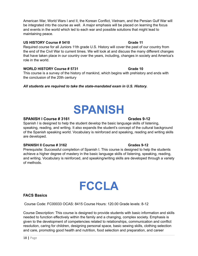American War, World Wars I and II, the Korean Conflict, Vietnam, and the Persian Gulf War will be integrated into the course as well. A major emphasis will be placed on learning the focus and events in the world which led to each war and possible solutions that might lead to maintaining peace.

### **US HISTORY Course # 5410 Grade 11**

Required course for all Juniors 11th grade U.S. History will cover the past of our country from the end of the Civil War to current times. We will look at and discuss the many different changes that have taken place in our country over the years, including, changes in society and America's role in the world.

### **WORLD HISTORY Course # 5731 Grade 10 Grade 10**

This course is a survey of the history of mankind, which begins with prehistory and ends with the conclusion of the 20th century

*All students are required to take the state-mandated exam in U.S. History.*

### **SPANISH I Course # 3161 Grades 9-12**

Spanish I is designed to help the student develop the basic language skills of listening, speaking, reading, and writing. It also expands the student's concept of the cultural background of the Spanish speaking world. Vocabulary is reinforced and speaking, reading and writing skills are developed.

### **SPANISH II Course # 3162 Grades 9-12**

Prerequisite: Successful completion of Spanish I. This course is designed to help the students achieve a higher degree of mastery in the basic language skills of listening, speaking, reading, and writing. Vocabulary is reinforced, and speaking/writing skills are developed through a variety of methods.

### **FACS Basics**

Course Code: FC00033 OCAS: 8415 Course Hours: 120.00 Grade levels: 8-12

Course Description: This course is designed to provide students with basic information and skills needed to function effectively within the family and a changing, complex society. Emphasis is given to the development of competencies related to relationships, communication and conflict resolution, caring for children, designing personal space, basic sewing skills, clothing selection and care, promoting good health and nutrition, food selection and preparation, and career

# **SPANISH**

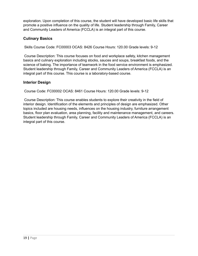exploration. Upon completion of this course, the student will have developed basic life skills that promote a positive influence on the quality of life. Student leadership through Family, Career and Community Leaders of America (FCCLA) is an integral part of this course.

### **Culinary Basics**

Skills Course Code: FC00003 OCAS: 8426 Course Hours: 120.00 Grade levels: 9-12

Course Description: This course focuses on food and workplace safety, kitchen management basics and culinary exploration including stocks, sauces and soups, breakfast foods, and the science of baking. The importance of teamwork in the food service environment is emphasized. Student leadership through Family, Career and Community Leaders of America (FCCLA) is an integral part of this course. This course is a laboratory-based course.

### **Interior Design**

Course Code: FC00002 OCAS: 8461 Course Hours: 120.00 Grade levels: 9-12

Course Description: This course enables students to explore their creativity in the field of interior design. Identification of the elements and principles of design are emphasized. Other topics included are housing needs, influences on the housing industry, furniture arrangement basics, floor plan evaluation, area planning, facility and maintenance management, and careers. Student leadership through Family, Career and Community Leaders of America (FCCLA) is an integral part of this course.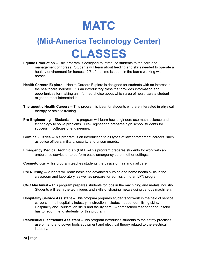

## **(Mid-America Technology Center) CLASSES**

- **Equine Production –** This program is designed to introduce students to the care and management of horses. Students will learn about feeding and skills needed to operate a healthy environment for horses. 2/3 of the time is spent in the barns working with horses.
- **Health Careers Explore –** Health Careers Explore is designed for students with an interest in the healthcare industry. It is an introductory class that provides information and opportunities for making an informed choice about which area of healthcare a student might be most interested in.
- **Therapeutic Health Careers –** This program is ideal for students who are interested in physical therapy or athletic training.
- **Pre-Engineering –** Students in this program will learn how engineers use math, science and technology to solve problems. Pre-Engineering prepares high school students for success in colleges of engineering.
- **Criminal Justice –**This program is an introduction to all types of law enforcement careers, such as police officers, military, security and prison guards.
- **Emergency Medical Technician (EMT) –**This program prepares students for work with an ambulance service or to perform basic emergency care in other settings.
- **Cosmetology –**This program teaches students the basics of hair and nail care
- **Pre Nursing –**Students will learn basic and advanced nursing and home health skills in the classroom and laboratory, as well as prepare for admission to an LPN program.
- **CNC Machinist –**This program prepares students for jobs in the machining and metals industry. Students will learn the techniques and skills of shaping metals using various machinery.
- **Hospitality Service Assistant –** This program prepares students for work in the field of service careers in the hospitality industry. Instruction includes independent living skills, Hospitality and Tourism job skills and facility care. A homeschool teacher or counselor has to recommend students for this program.
- **Residential Electricians Assistant –**This program introduces students to the safety practices, use of hand and power tools/equipment and electrical theory related to the electrical industry.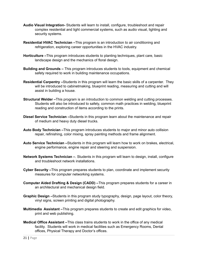- **Audio Visual Integration-** Students will learn to install, configure, troubleshoot and repair complex residential and light commercial systems, such as audio visual, lighting and security systems.
- **Residential HVAC Technician –**This program is an introduction to air conditioning and refrigeration, exploring career opportunities in the HVAC industry.
- **Horticulture –**This program introduces students to planting techniques, plant care, basic landscape design and the mechanics of floral design.
- **Building and Grounds –** This program introduces students to tools, equipment and chemical safety required to work in building maintenance occupations.
- **Residential Carpentry –**Students in this program will learn the basic skills of a carpenter. They will be introduced to cabinetmaking, blueprint reading, measuring and cutting and will assist in building a house.
- **Structural Welder –**This program is an introduction to common welding and cutting processes. Students will also be introduced to safety, common math practices in welding, blueprint reading and construction of items according to the prints.
- **Diesel Service Technician –**Students in this program learn about the maintenance and repair of medium and heavy duty diesel trucks.
- **Auto Body Technician –**This program introduces students to major and minor auto collision repair, refinishing, color mixing, spray painting methods and frame alignment.
- **Auto Service Technician –**Students in this program will learn how to work on brakes, electrical, engine performance, engine repair and steering and suspension.
- **Network Systems Technician –**. Students in this program will learn to design, install, configure and troubleshoot network installations.
- **Cyber Security –**This program prepares students to plan, coordinate and implement security measures for computer networking systems.
- **Computer Aided Drafting & Design (CADD) –**This program prepares students for a career in an architectural and mechanical design field.
- **Graphic Design –**Students in this program study typography, design, page layout, color theory, vinyl signs, screen printing and digital photography.
- **Multimedia Assistant –**This program prepares students to create and edit graphics for video, print and web publishing.
- **Medical Office Assistant –**This class trains students to work in the office of any medical facility. Students will work in medical facilities such as Emergency Rooms, Dental offices, Physical Therapy and Doctor's offices.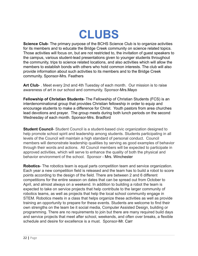# **CLUBS**

**Science Club-** The primary purpose of the BCHS Science Club is to organize activities for its members and to educate the Bridge Creek community on science related topics. Those activities will focus on, but are not restricted to, the invitation of guest speakers to the campus, various student-lead presentations given to younger students throughout the community, trips to science related locations, and also activities which will allow the members to establish bonds with others who hold common interests. The club will also provide information about such activities to its members and to the Bridge Creek community. Sponsor-Mrs. Feathers

**Art Club**- . Meet every 2nd and 4th Tuesday of each month. Our mission is to raise awareness of art in our school and community. Sponsor-Mrs.Mayo

**Fellowship of Christian Students**- The Fellowship of Christian Students (FCS) is an interdenominational group that provides Christian fellowship in order to equip and encourage students to make a difference for Christ. Youth pastors from area churches lead devotions and prayer. The group meets during both lunch periods on the second Wednesday of each month. Sponsor-Mrs. Bradford

**Student Council**- Student Council is a student-based civic organization designed to help promote school spirit and leadership among students. Students participating in all levels of the Council will maintain a high standard of personal conduct. Council members will demonstrate leadership qualities by serving as good examples of behavior through their words and actions. All Council members will be expected to participate in approved activities, which will serve to enhance the quality of both the physical and behavior environment of the school. Sponsor - Mrs. Winchester

**Robotics**- The robotics team is equal parts competition team and service organization. Each year a new competition field is released and the team has to build a robot to score points according to the design of the field. There are between 2 and 6 different competitions for the entire season on dates that can be spread out from October to April, and almost always on a weekend. In addition to building a robot the team is expected to take on service projects that help contribute to the larger community of robotics teams, as well as projects that help the local school community engage in STEM. Robotics meets in a class that helps organize these activities as well as provide training an opportunity to prepare for these events. Students are welcome to find their own strengths on the team be it social media, Computer Assisted Design, building or programming. There are no requirements to join but there are many required build days and service projects that meet after school, weekends, and often over breaks, a flexible schedule and desire for excellence is a must. Sponsor-Mr. Carr